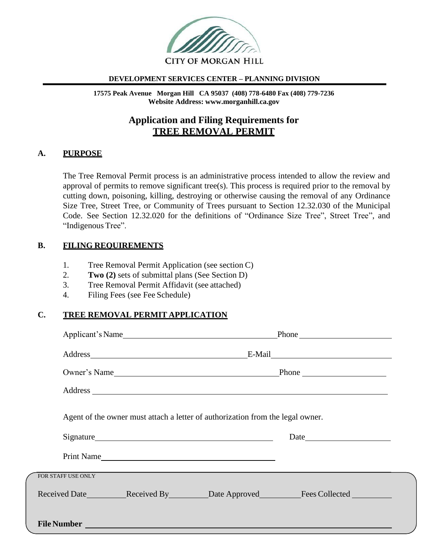

### **DEVELOPMENT SERVICES CENTER – PLANNING DIVISION**

**17575 Peak Avenue Morgan Hill CA 95037 (408) 778-6480 Fax (408) 779-7236 Website Address: [www.morganhill.ca.gov](http://www.morganhill.ca.gov/)**

# **Application and Filing Requirements for TREE REMOVAL PERMIT**

### **A. PURPOSE**

The Tree Removal Permit process is an administrative process intended to allow the review and approval of permits to remove significant tree(s). This process is required prior to the removal by cutting down, poisoning, killing, destroying or otherwise causing the removal of any Ordinance Size Tree, Street Tree, or Community of Trees pursuant to Section 12.32.030 of the Municipal Code. See Section 12.32.020 for the definitions of "Ordinance Size Tree", Street Tree", and "Indigenous Tree".

### **B. FILING REQUIREMENTS**

- 1. Tree Removal Permit Application (see section C)
- 2. **Two (2)** sets of submittal plans (See Section D)
- 3. Tree Removal Permit Affidavit (see attached)
- 4. Filing Fees (see Fee Schedule)

### **C. TREE REMOVAL PERMIT APPLICATION**

|                    |                                                                                                                                                                                                                                      |                                                                                | Address E-Mail E-Mail E-Mail E-Mail E-Mail E-Mail E-Mail E-Mail E-Mail E-Mail E-Mail E-Mail E-Mail E-Mail E-Mail E-Mail E-Mail E-Mail E-Mail E-Mail E-Mail E-Mail E-Mail E-Mail E-Mail E-Mail E-Mail E-Mail E-Mail E-Mail E-Ma |  |
|--------------------|--------------------------------------------------------------------------------------------------------------------------------------------------------------------------------------------------------------------------------------|--------------------------------------------------------------------------------|--------------------------------------------------------------------------------------------------------------------------------------------------------------------------------------------------------------------------------|--|
|                    |                                                                                                                                                                                                                                      |                                                                                |                                                                                                                                                                                                                                |  |
|                    |                                                                                                                                                                                                                                      |                                                                                |                                                                                                                                                                                                                                |  |
|                    |                                                                                                                                                                                                                                      | Agent of the owner must attach a letter of authorization from the legal owner. |                                                                                                                                                                                                                                |  |
|                    |                                                                                                                                                                                                                                      |                                                                                | Date                                                                                                                                                                                                                           |  |
|                    |                                                                                                                                                                                                                                      | Print Name                                                                     |                                                                                                                                                                                                                                |  |
| FOR STAFF USE ONLY |                                                                                                                                                                                                                                      |                                                                                |                                                                                                                                                                                                                                |  |
|                    |                                                                                                                                                                                                                                      |                                                                                |                                                                                                                                                                                                                                |  |
|                    | File Number <u>and the community of the set of the community of the community of the community of the community of the community of the community of the community of the community of the community of the community of the com</u> |                                                                                |                                                                                                                                                                                                                                |  |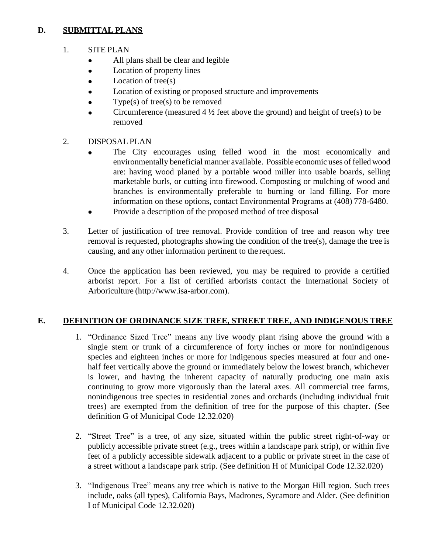## **D. SUBMITTAL PLANS**

- 1. SITE PLAN
	- All plans shall be clear and legible  $\bullet$
	- Location of property lines  $\bullet$
	- Location of tree(s)
	- Location of existing or proposed structure and improvements
	- Type(s) of tree(s) to be removed
	- Circumference (measured  $4\frac{1}{2}$  feet above the ground) and height of tree(s) to be removed
- 2. DISPOSAL PLAN
	- The City encourages using felled wood in the most economically and environmentally beneficial manner available. Possible economic uses of felled wood are: having wood planed by a portable wood miller into usable boards, selling marketable burls, or cutting into firewood. Composting or mulching of wood and branches is environmentally preferable to burning or land filling. For more information on these options, contact Environmental Programs at (408) 778-6480.
	- Provide a description of the proposed method of tree disposal  $\bullet$
- 3. Letter of justification of tree removal. Provide condition of tree and reason why tree removal is requested, photographs showing the condition of the tree(s), damage the tree is causing, and any other information pertinent to the request.
- 4. Once the application has been reviewed, you may be required to provide a certified arborist report. For a list of certified arborists contact the International Society of Arboriculture (http://www.isa-arbor.com).

## **E. DEFINITION OF ORDINANCE SIZE TREE, STREET TREE, AND INDIGENOUS TREE**

- 1. "Ordinance Sized Tree" means any live woody plant rising above the ground with a single stem or trunk of a circumference of forty inches or more for nonindigenous species and eighteen inches or more for indigenous species measured at four and onehalf feet vertically above the ground or immediately below the lowest branch, whichever is lower, and having the inherent capacity of naturally producing one main axis continuing to grow more vigorously than the lateral axes. All commercial tree farms, nonindigenous tree species in residential zones and orchards (including individual fruit trees) are exempted from the definition of tree for the purpose of this chapter. (See definition G of Municipal Code 12.32.020)
- 2. "Street Tree" is a tree, of any size, situated within the public street right-of-way or publicly accessible private street (e.g., trees within a landscape park strip), or within five feet of a publicly accessible sidewalk adjacent to a public or private street in the case of a street without a landscape park strip. (See definition H of Municipal Code 12.32.020)
- 3. "Indigenous Tree" means any tree which is native to the Morgan Hill region. Such trees include, oaks (all types), California Bays, Madrones, Sycamore and Alder. (See definition I of Municipal Code 12.32.020)